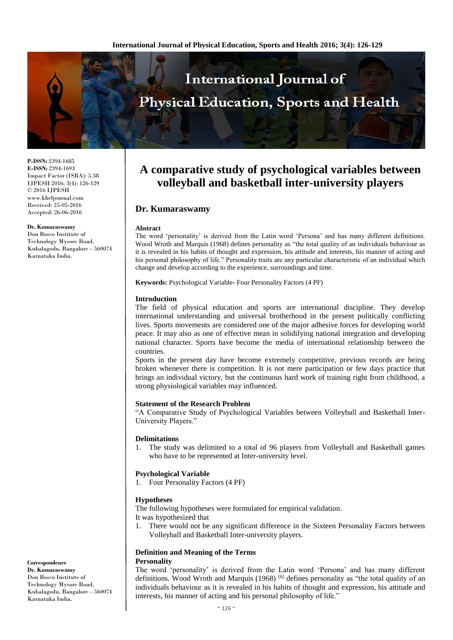

**P-ISSN:** 2394-1685 **E-ISSN:** 2394-1693 Impact Factor (ISRA): 5.38 IJPESH 2016; 3(4): 126-129 © 2016 IJPESH www.kheljournal.com Received: 25-05-2016 Accepted: 26-06-2016

**Dr. Kumaraswamy** Don Bosco Institute of

Technology Mysore Road, Kubalagodu, Bangalore – 560074 Karnataka India.

# **Definition and Meaning of the Terms Personality**

The word 'personality' is derived from the Latin word 'Persona' and has many different definitions. Wood Wroth and Marquis (1968) <sup>[6]</sup> defines personality as "the total quality of an individuals behaviour as it is revealed in his habits of thought and expression, his attitude and interests, his manner of acting and his personal philosophy of life."

**Correspondence Dr. Kumaraswamy** Don Bosco Institute of Technology Mysore Road, Kubalagodu, Bangalore – 560074 Karnataka India.

# **A comparative study of psychological variables between volleyball and basketball inter-university players**

# **Dr. Kumaraswamy**

#### **Abstract**

The word 'personality' is derived from the Latin word 'Persona' and has many different definitions. Wood Wroth and Marquis (1968) defines personality as "the total quality of an individuals behaviour as it is revealed in his habits of thought and expression, his attitude and interests, his manner of acting and his personal philosophy of life." Personality traits are any particular characteristic of an individual which change and develop according to the experience, surroundings and time.

**Keywords:** Psychological Variable**-** Four Personality Factors (4 PF)

### **Introduction**

The field of physical education and sports are international discipline. They develop international understanding and universal brotherhood in the present politically conflicting lives. Sports movements are considered one of the major adhesive forces for developing world peace. It may also as one of effective mean in solidifying national integration and developing national character. Sports have become the media of international relationship between the countries.

Sports in the present day have become extremely competitive, previous records are being broken whenever there is competition. It is not mere participation or few days practice that brings an individual victory, but the continuous hard work of training right from childhood, a strong physiological variables may influenced.

#### **Statement of the Research Problem**

"A Comparative Study of Psychological Variables between Volleyball and Basketball Inter-University Players."

#### **Delimitations**

1. The study was delimited to a total of 96 players from Volleyball and Basketball games who have to be represented at Inter-university level.

#### **Psychological Variable**

1. Four Personality Factors (4 PF)

#### **Hypotheses**

The following hypotheses were formulated for empirical validation. It was hypothesized that

1. There would not be any significant difference in the Sixteen Personality Factors between Volleyball and Basketball Inter-university players.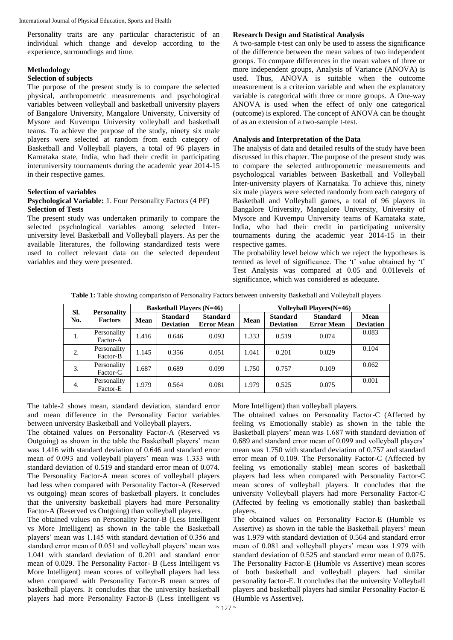Personality traits are any particular characteristic of an individual which change and develop according to the experience, surroundings and time.

#### **Methodology**

#### **Selection of subjects**

The purpose of the present study is to compare the selected physical, anthropometric measurements and psychological variables between volleyball and basketball university players of Bangalore University, Mangalore University, University of Mysore and Kuvempu University volleyball and basketball teams. To achieve the purpose of the study, ninety six male players were selected at random from each category of Basketball and Volleyball players, a total of 96 players in Karnataka state, India, who had their credit in participating interuniversity tournaments during the academic year 2014-15 in their respective games.

#### **Selection of variables**

#### **Psychological Variable:** 1. Four Personality Factors (4 PF) **Selection of Tests**

The present study was undertaken primarily to compare the selected psychological variables among selected Interuniversity level Basketball and Volleyball players. As per the available literatures, the following standardized tests were used to collect relevant data on the selected dependent variables and they were presented.

#### **Research Design and Statistical Analysis**

A two-sample t-test can only be used to assess the significance of the difference between the mean values of two independent groups. To compare differences in the mean values of three or more independent groups, Analysis of Variance (ANOVA) is used. Thus, ANOVA is suitable when the outcome measurement is a criterion variable and when the explanatory variable is categorical with three or more groups. A One-way ANOVA is used when the effect of only one categorical (outcome) is explored. The concept of ANOVA can be thought of as an extension of a two-sample t-test.

# **Analysis and Interpretation of the Data**

The analysis of data and detailed results of the study have been discussed in this chapter. The purpose of the present study was to compare the selected anthropometric measurements and psychological variables between Basketball and Volleyball Inter-university players of Karnataka. To achieve this, ninety six male players were selected randomly from each category of Basketball and Volleyball games, a total of 96 players in Bangalore University, Mangalore University, University of Mysore and Kuvempu University teams of Karnataka state, India, who had their credit in participating university tournaments during the academic year 2014-15 in their respective games.

The probability level below which we reject the hypotheses is termed as level of significance. The 't' value obtained by 't' Test Analysis was compared at 0.05 and 0.01levels of significance, which was considered as adequate.

**Table 1:** Table showing comparison of Personality Factors between university Basketball and Volleyball players

| SI.<br>No. | <b>Personality</b><br><b>Factors</b> | <b>Basketball Players (N=46)</b> |                                     |                                      | <b>Volleyball Players (N=46)</b> |                                     |                                      |                          |
|------------|--------------------------------------|----------------------------------|-------------------------------------|--------------------------------------|----------------------------------|-------------------------------------|--------------------------------------|--------------------------|
|            |                                      | Mean                             | <b>Standard</b><br><b>Deviation</b> | <b>Standard</b><br><b>Error Mean</b> | Mean                             | <b>Standard</b><br><b>Deviation</b> | <b>Standard</b><br><b>Error Mean</b> | Mean<br><b>Deviation</b> |
| 1.         | Personality<br>Factor-A              | 1.416                            | 0.646                               | 0.093                                | 1.333                            | 0.519                               | 0.074                                | 0.083                    |
| 2.         | Personality<br>Factor-B              | 1.145                            | 0.356                               | 0.051                                | 1.041                            | 0.201                               | 0.029                                | 0.104                    |
| 3.         | Personality<br>Factor-C              | 1.687                            | 0.689                               | 0.099                                | 1.750                            | 0.757                               | 0.109                                | 0.062                    |
| 4.         | Personality<br>Factor-E              | 1.979                            | 0.564                               | 0.081                                | 1.979                            | 0.525                               | 0.075                                | 0.001                    |

The table-2 shows mean, standard deviation, standard error and mean difference in the Personality Factor variables between university Basketball and Volleyball players.

The obtained values on Personality Factor-A (Reserved vs Outgoing) as shown in the table the Basketball players' mean was 1.416 with standard deviation of 0.646 and standard error mean of 0.093 and volleyball players' mean was 1.333 with standard deviation of 0.519 and standard error mean of 0.074. The Personality Factor-A mean scores of volleyball players had less when compared with Personality Factor-A (Reserved vs outgoing) mean scores of basketball players. It concludes that the university basketball players had more Personality Factor-A (Reserved vs Outgoing) than volleyball players.

The obtained values on Personality Factor-B (Less Intelligent vs More Intelligent) as shown in the table the Basketball players' mean was 1.145 with standard deviation of 0.356 and standard error mean of 0.051 and volleyball players' mean was 1.041 with standard deviation of 0.201 and standard error mean of 0.029. The Personality Factor- B (Less Intelligent vs More Intelligent) mean scores of volleyball players had less when compared with Personality Factor-B mean scores of basketball players. It concludes that the university basketball players had more Personality Factor-B (Less Intelligent vs

More Intelligent) than volleyball players.

The obtained values on Personality Factor-C (Affected by feeling vs Emotionally stable) as shown in the table the Basketball players' mean was 1.687 with standard deviation of 0.689 and standard error mean of 0.099 and volleyball players' mean was 1.750 with standard deviation of 0.757 and standard error mean of 0.109. The Personality Factor-C (Affected by feeling vs emotionally stable) mean scores of basketball players had less when compared with Personality Factor-C mean scores of volleyball players. It concludes that the university Volleyball players had more Personality Factor-C (Affected by feeling vs emotionally stable) than basketball players.

The obtained values on Personality Factor-E (Humble vs Assertive) as shown in the table the Basketball players' mean was 1.979 with standard deviation of 0.564 and standard error mean of 0.081 and volleyball players' mean was 1.979 with standard deviation of 0.525 and standard error mean of 0.075. The Personality Factor-E (Humble vs Assertive) mean scores of both basketball and volleyball players had similar personality factor-E. It concludes that the university Volleyball players and basketball players had similar Personality Factor-E (Humble vs Assertive).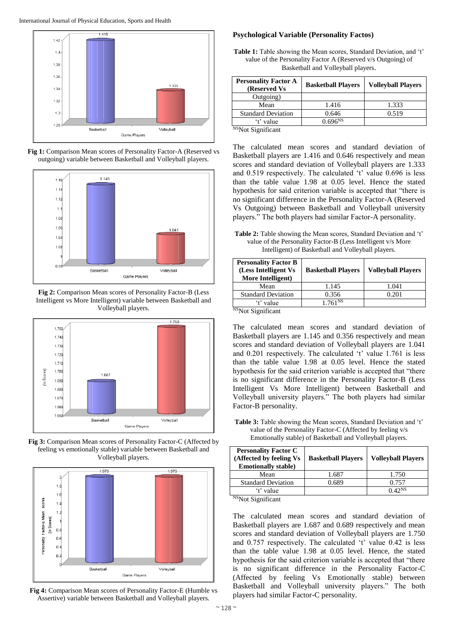

**Fig 1:** Comparison Mean scores of Personality Factor-A (Reserved vs outgoing) variable between Basketball and Volleyball players.



**Fig 2:** Comparison Mean scores of Personality Factor-B (Less Intelligent vs More Intelligent) variable between Basketball and Volleyball players.



**Fig 3:** Comparison Mean scores of Personality Factor-C (Affected by feeling vs emotionally stable) variable between Basketball and Volleyball players.



**Fig 4:** Comparison Mean scores of Personality Factor-E (Humble vs Assertive) variable between Basketball and Volleyball players.

# **Psychological Variable (Personality Factos)**

**Table 1:** Table showing the Mean scores, Standard Deviation, and 't' value of the Personality Factor A (Reserved v/s Outgoing) of Basketball and Volleyball players.

| <b>Personality Factor A</b><br>(Reserved Vs) | <b>Basketball Players</b> | <b>Volleyball Players</b> |
|----------------------------------------------|---------------------------|---------------------------|
| Outgoing)                                    |                           |                           |
| Mean                                         | 1.416                     | 1.333                     |
| <b>Standard Deviation</b>                    | 0.646                     | 0.519                     |
| 't' value                                    | 0.696 <sup>NS</sup>       |                           |

N<sub>S</sub>Not Significant

The calculated mean scores and standard deviation of Basketball players are 1.416 and 0.646 respectively and mean scores and standard deviation of Volleyball players are 1.333 and 0.519 respectively. The calculated 't' value 0.696 is less than the table value 1.98 at 0.05 level. Hence the stated hypothesis for said criterion variable is accepted that "there is no significant difference in the Personality Factor-A (Reserved Vs Outgoing) between Basketball and Volleyball university players." The both players had similar Factor-A personality.

**Table 2:** Table showing the Mean scores, Standard Deviation and 't' value of the Personality Factor-B (Less Intelligent v/s More Intelligent) of Basketball and Volleyball players.

| <b>Personality Factor B</b><br>(Less Intelligent Vs)<br>More Intelligent) | <b>Basketball Players</b> | <b>Volleyball Players</b> |
|---------------------------------------------------------------------------|---------------------------|---------------------------|
| Mean                                                                      | 1.145                     | 1.041                     |
| <b>Standard Deviation</b>                                                 | 0.356                     | 0.201                     |
| 't' value<br>$MOL =$                                                      | 1.761 <sup>NS</sup>       |                           |

<sup>NS</sup>Not Significant

The calculated mean scores and standard deviation of Basketball players are 1.145 and 0.356 respectively and mean scores and standard deviation of Volleyball players are 1.041 and 0.201 respectively. The calculated 't' value 1.761 is less than the table value 1.98 at 0.05 level. Hence the stated hypothesis for the said criterion variable is accepted that "there is no significant difference in the Personality Factor-B (Less Intelligent Vs More Intelligent) between Basketball and Volleyball university players." The both players had similar Factor-B personality.

**Table 3:** Table showing the Mean scores, Standard Deviation and 't' value of the Personality Factor-C (Affected by feeling v/s Emotionally stable) of Basketball and Volleyball players.

| <b>Personality Factor C</b><br>(Affected by feeling Vs<br><b>Emotionally stable)</b> | <b>Basketball Players</b> | <b>Volleyball Players</b> |
|--------------------------------------------------------------------------------------|---------------------------|---------------------------|
| Mean                                                                                 | 1.687                     | 1.750                     |
| <b>Standard Deviation</b>                                                            | 0.689                     | 0.757                     |
| value                                                                                |                           | 0.42N <sub>S</sub>        |
| 7.70                                                                                 |                           |                           |

<sup>NS</sup>Not Significant

The calculated mean scores and standard deviation of Basketball players are 1.687 and 0.689 respectively and mean scores and standard deviation of Volleyball players are 1.750 and 0.757 respectively. The calculated 't' value 0.42 is less than the table value 1.98 at 0.05 level. Hence, the stated hypothesis for the said criterion variable is accepted that "there is no significant difference in the Personality Factor-C (Affected by feeling Vs Emotionally stable) between Basketball and Volleyball university players." The both players had similar Factor-C personality.